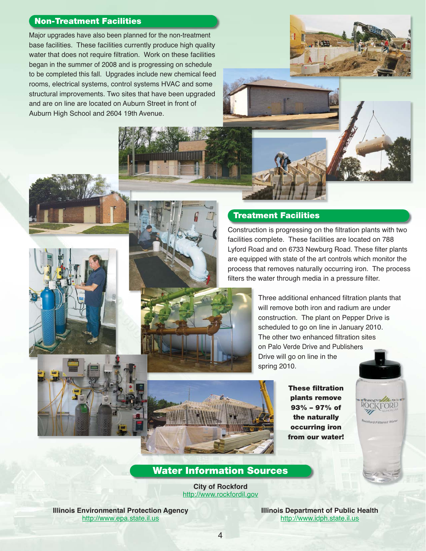## **Non-Treatment Facilities**

Major upgrades have also been planned for the non-treatment base facilities. These facilities currently produce high quality water that does not require filtration. Work on these facilities began in the summer of 2008 and is progressing on schedule to be completed this fall. Upgrades include new chemical feed rooms, electrical systems, control systems HVAC and some structural improvements. Two sites that have been upgraded and are on line are located on Auburn Street in front of Auburn High School and 2604 19th Avenue.



Construction is progressing on the filtration plants with two facilities complete. These facilities are located on 788 Lyford Road and on 6733 Newburg Road. These filter plants are equipped with state of the art controls which monitor the process that removes naturally occurring iron. The process filters the water through media in a pressure filter.





**These filtration plants remove 93% – 97% of the naturally occurring iron from our water!**

**ROCKFORD** 

ckford Filtered Wate

## **Water Information Sources**

**City of Rockford** http://www.rockfordil.gov

**Illinois Environmental Protection Agency** http://www.epa.state.il.us

**Illinois Department of Public Health** http://www.idph.state.il.us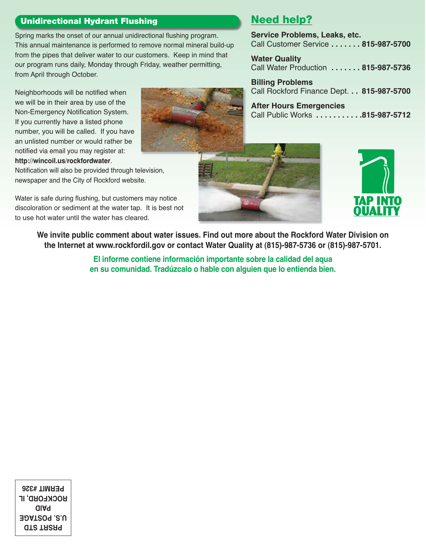## **Unidirectional Hydrant Flushing**

Spring marks the onset of our annual unidirectional flushing program. This annual maintenance is performed to remove normal mineral build-up from the pipes that deliver water to our customers. Keep in mind that our program runs daily, Monday through Friday, weather permitting, from April through October.

Neighborhoods will be notified when we will be in their area by use of the Non-Emergency Notification System. If you currently have a listed phone number, you will be called. If you have an unlisted number or would rather be notified via email you may register at: **http://wincoil.us/rockfordwater**.

Notification will also be provided through television, newspaper and the City of Rockford website.

Water is safe during flushing, but customers may notice discoloration or sediment at the water tap. It is best not to use hot water until the water has cleared.

## **Need help?**

**Service Problems, Leaks, etc.** Call Customer Service **. . . . . . . 815-987-5700**

**Water Quality** Call Water Production **. . . . . . . 815-987-5736**

**Billing Problems** Call Rockford Finance Dept. **. . 815-987-5700**

**After Hours Emergencies** Call Public Works **. . . . . . . . . . .815-987-5712**





**We invite public comment about water issues. Find out more about the Rockford Water Division on the Internet at www.rockfordil.gov or contact Water Quality at (815)-987-5736 or (815)-987-5701.**

> **El informe contiene información importante sobre la calidad del aqua en su comunidad. Tradúzcalo o hable con alguien que lo entienda bien.**

**PRSRT STD U.S. POSTAGE PAID ROCKFORD, IL PERMIT #326**

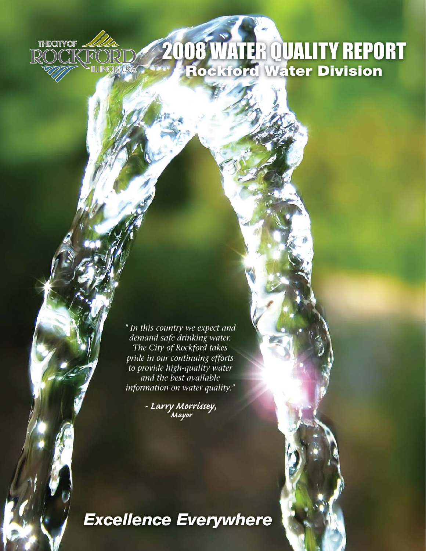# 2008 WATER QUALITY REPORT **Rockford Water Division**

*" In this country we expect and demand safe drinking water. The City of Rockford takes pride in our continuing efforts to provide high-quality water and the best available information on water quality."*

**THE CITY OF** 

**DCK** 

 $\mathbb{R}\mathbb{C}$ 

**TLUNOIS.USA** 

RC

*- Larry Morrissey, Mayor* 

*Excellence Everywhere*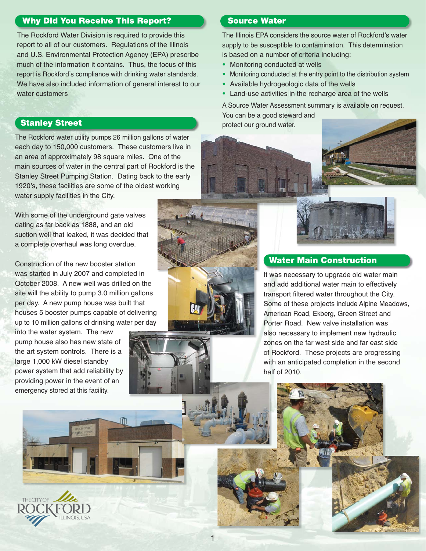## **Why Did You Receive This Report?**

The Rockford Water Division is required to provide this report to all of our customers. Regulations of the Illinois and U.S. Environmental Protection Agency (EPA) prescribe much of the information it contains. Thus, the focus of this report is Rockford's compliance with drinking water standards. We have also included information of general interest to our water customers

The Rockford water utility pumps 26 million gallons of water each day to 150,000 customers. These customers live in an area of approximately 98 square miles. One of the main sources of water in the central part of Rockford is the Stanley Street Pumping Station. Dating back to the early 1920's, these facilities are some of the oldest working water supply facilities in the City.

With some of the underground gate valves dating as far back as 1888, and an old suction well that leaked, it was decided that a complete overhaul was long overdue.

Construction of the new booster station was started in July 2007 and completed in October 2008. A new well was drilled on the site will the ability to pump 3.0 million gallons per day. A new pump house was built that houses 5 booster pumps capable of delivering up to 10 million gallons of drinking water per day

into the water system. The new pump house also has new state of the art system controls. There is a large 1,000 kW diesel standby power system that add reliability by providing power in the event of an emergency stored at this facility.





## **Source Water**

The Illinois EPA considers the source water of Rockford's water supply to be susceptible to contamination. This determination is based on a number of criteria including:

- **•** Monitoring conducted at wells
- **•** Monitoring conducted at the entry point to the distribution system
- **•** Available hydrogeologic data of the wells
- **•** Land-use activities in the recharge area of the wells

A Source Water Assessment summary is available on request. You can be a good steward and **Stanley Street protect our ground water.** 



## **Water Main Construction**

It was necessary to upgrade old water main and add additional water main to effectively transport filtered water throughout the City. Some of these projects include Alpine Meadows, American Road, Ekberg, Green Street and Porter Road. New valve installation was also necessary to implement new hydraulic zones on the far west side and far east side of Rockford. These projects are progressing with an anticipated completion in the second half of 2010.

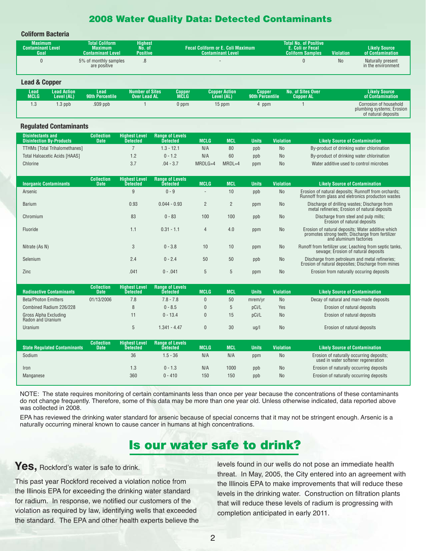## **2008 Water Quality Data: Detected Contaminants**

## **Coliform Bacteria**

| Maximum<br><b>Contaminant Level</b><br>Goal | <b>Total Coliform</b><br><b>Maximum</b><br><b>Contaminant Level</b> | Highest<br>No. of<br><b>Positive</b> | Fecal Coliform or E. Coli Maximum<br><b>Contaminant Level</b> | <b>Total No. of Positive</b><br><b>E. Coli or Fecal</b><br><b>Coliform Samples</b> | <b>Violation</b> | <b>Likelv Source</b><br>of Contamination |
|---------------------------------------------|---------------------------------------------------------------------|--------------------------------------|---------------------------------------------------------------|------------------------------------------------------------------------------------|------------------|------------------------------------------|
|                                             | 5% of monthly samples<br>are positive                               | .ŏ                                   |                                                               |                                                                                    | <b>No</b>        | Naturally present<br>in the environment  |

**Lead & Copper**

| Lead | ead Action. | Lead                   | <b>Number of Sites</b> | Copper | <b>Copper Action</b> | Copper                 | <b>No. of Sites Over</b> | Likelv Source                                                              |
|------|-------------|------------------------|------------------------|--------|----------------------|------------------------|--------------------------|----------------------------------------------------------------------------|
| MCLG | Level (AL)  | <b>90th Percentile</b> | <b>Over Lead AL</b>    | MCLG   | Level (AL)           | <b>90th Percentile</b> | Copper AL                | of Contamination                                                           |
| .5   | $.3$ ppb    | 939 ppb.               |                        | 0 ppm  | 15 ppm               | ppm                    |                          | Corrosion of household<br>plumbing systems; Erosion<br>of natural deposits |

### **Regulated Contaminants**

| <b>Disinfectants and</b><br><b>Disinfection Bv-Products \</b> | <b>Collection</b><br><b>Date</b> | <b>Highest Level</b><br>Detected | <b>Range of Levels</b><br>Detected | MCLG      | <b>MCL</b> | Units | <b>Violation</b> | <b>Likely Source of Contamination</b>     |
|---------------------------------------------------------------|----------------------------------|----------------------------------|------------------------------------|-----------|------------|-------|------------------|-------------------------------------------|
| <b>TTHMs [Total Trihalomethanes]</b>                          |                                  |                                  | $.3 - 12.1$                        | N/A       | 80         | ppb   | No               | By-product of drinking water chlorination |
| Total Haloacetic Acids [HAAS]                                 |                                  |                                  | $0 - 1.2$                          | N/A       | 60         | ppb   | <b>No</b>        | By-product of drinking water chlorination |
| Chlorine                                                      |                                  |                                  | $.04 - 3.7$                        | $MRDLG=4$ | MRDL=4     | ppm   | <b>No</b>        | Water additive used to control microbes   |

| <b>Inorganic Contaminants</b> | <b>Collection</b><br><b>Date</b> | <b>Highest Level</b><br><b>Detected</b> | <b>Range of Levels</b><br><b>Detected</b> | <b>MCLG</b>    | <b>MCL</b>     | <b>Units</b> | <b>Violation</b> | <b>Likely Source of Contamination</b>                                                                                           |
|-------------------------------|----------------------------------|-----------------------------------------|-------------------------------------------|----------------|----------------|--------------|------------------|---------------------------------------------------------------------------------------------------------------------------------|
| Arsenic                       |                                  | 9                                       | $0 - 9$                                   | $\sim$         | 10             | ppb          | <b>No</b>        | Erosion of natural deposits; Runnoff from orchards;<br>Runnoff from glass and eletronics producton wastes                       |
| <b>Barium</b>                 |                                  | 0.93                                    | $0.044 - 0.93$                            | $\overline{2}$ | $\overline{2}$ | ppm          | <b>No</b>        | Discharge of drilling wastes; Discharge from<br>metal refineries; Erosion of natural deposits                                   |
| Chromium                      |                                  | 83                                      | $0 - 83$                                  | 100            | 100            | ppb          | No               | Discharge from steel and pulp mills;<br>Erosion of natural deposits                                                             |
| Fluoride                      |                                  | 1.1                                     | $0.31 - 1.1$                              | 4              | 4.0            | ppm          | <b>No</b>        | Erosion of natural deposits: Water additive which<br>promotes strong teeth; Discharge from fertilizer<br>and aluminum factories |
| Nitrate (As N)                |                                  | 3                                       | $0 - 3.8$                                 | 10             | 10             | ppm          | <b>No</b>        | Runoff from fertilizer use; Leaching from septic tanks,<br>sewage; Erosion of natural deposits                                  |
| Selenium                      |                                  | 2.4                                     | $0 - 2.4$                                 | 50             | 50             | ppb          | <b>No</b>        | Discharge from petroleum and metal refineries;<br>Erosion of natural deposites; Discharge from mines                            |
| Zinc                          |                                  | .041                                    | $0 - .041$                                | 5              | 5              | ppm          | <b>No</b>        | Erosion from naturally occuring deposits                                                                                        |

| <b>Radioactive Contaminants</b>            | <b>Collection</b><br><b>Date</b> | <b>Highest Level</b><br><b>Detected</b> | <b>Range of Levels</b><br><b>Detected</b> | <b>MCLG</b> | <b>MCL</b> | <b>Units</b> | <b>Violation</b> | <b>Likely Source of Contamination</b>                                           |
|--------------------------------------------|----------------------------------|-----------------------------------------|-------------------------------------------|-------------|------------|--------------|------------------|---------------------------------------------------------------------------------|
| <b>Beta/Photon Emitters</b>                | 01/13/2006                       | 7.8                                     | $7.8 - 7.8$                               | 0           | 50         | mrem/vr      | <b>No</b>        | Decay of natural and man-made deposits                                          |
| Combined Radium 226/228                    |                                  | 8                                       | $0 - 8.5$                                 | 0           | 5          | pCi/L        | Yes              | Erosion of natural deposits                                                     |
| Gross Alpha Excluding<br>Radon and Uranium |                                  | 11                                      | $0 - 13.4$                                | 0           | 15         | pCi/L        | <b>No</b>        | Erosion of natural deposits                                                     |
| Uranium                                    |                                  | 5                                       | $1.341 - 4.47$                            | 0           | 30         | ug/l         | <b>No</b>        | Erosion of natural deposits                                                     |
|                                            |                                  |                                         |                                           |             |            |              |                  |                                                                                 |
| <b>State Requiated Contaminants</b>        | <b>Collection</b><br><b>Date</b> | <b>Highest Level</b><br><b>Detected</b> | <b>Range of Levels</b><br><b>Detected</b> | <b>MCLG</b> | <b>MCL</b> | <b>Units</b> | <b>Violation</b> | <b>Likely Source of Contamination</b>                                           |
| Sodium                                     |                                  | 36                                      | $1.5 - 36$                                | N/A         | N/A        | ppm          | <b>No</b>        | Erosion of naturally occurring deposits;<br>used in water softener regeneration |
| <b>Iron</b>                                |                                  | 1.3                                     | $0 - 1.3$                                 | N/A         | 1000       | ppb          | <b>No</b>        | Erosion of naturally occurring deposits                                         |
| Manganese                                  |                                  | 360                                     | $0 - 410$                                 | 150         | 150        | ppb          | <b>No</b>        | Erosion of naturally occurring deposits                                         |

NOTE: The state requires monitoring of certain contaminants less than once per year because the concentrations of these contaminants do not change frequently. Therefore, some of this data may be more than one year old. Unless otherwise indicated, data reported above was collected in 2008.

EPA has reviewed the drinking water standard for arsenic because of special concerns that it may not be stringent enough. Arsenic is a naturally occurring mineral known to cause cancer in humans at high concentrations.

## **Is our water safe to drink?**

## Yes, Rockford's water is safe to drink.

This past year Rockford received a violation notice from the Illinois EPA for exceeding the drinking water standard for radium. In response, we notified our customers of the violation as required by law, identifying wells that exceeded the standard. The EPA and other health experts believe the levels found in our wells do not pose an immediate health threat. In May, 2005, the City entered into an agreement with the Illinois EPA to make improvements that will reduce these levels in the drinking water. Construction on filtration plants that will reduce these levels of radium is progressing with completion anticipated in early 2011.